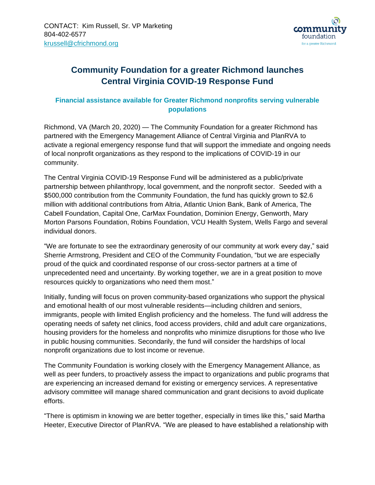

# **Community Foundation for a greater Richmond launches Central Virginia COVID-19 Response Fund**

## **Financial assistance available for Greater Richmond nonprofits serving vulnerable populations**

Richmond, VA (March 20, 2020) — The Community Foundation for a greater Richmond has partnered with the Emergency Management Alliance of Central Virginia and PlanRVA to activate a regional emergency response fund that will support the immediate and ongoing needs of local nonprofit organizations as they respond to the implications of COVID-19 in our community.

The Central Virginia COVID-19 Response Fund will be administered as a public/private partnership between philanthropy, local government, and the nonprofit sector. Seeded with a \$500,000 contribution from the Community Foundation, the fund has quickly grown to \$2.6 million with additional contributions from Altria, Atlantic Union Bank, Bank of America, The Cabell Foundation, Capital One, CarMax Foundation, Dominion Energy, Genworth, Mary Morton Parsons Foundation, Robins Foundation, VCU Health System, Wells Fargo and several individual donors.

"We are fortunate to see the extraordinary generosity of our community at work every day," said Sherrie Armstrong, President and CEO of the Community Foundation, "but we are especially proud of the quick and coordinated response of our cross-sector partners at a time of unprecedented need and uncertainty. By working together, we are in a great position to move resources quickly to organizations who need them most."

Initially, funding will focus on proven community-based organizations who support the physical and emotional health of our most vulnerable residents—including children and seniors, immigrants, people with limited English proficiency and the homeless. The fund will address the operating needs of safety net clinics, food access providers, child and adult care organizations, housing providers for the homeless and nonprofits who minimize disruptions for those who live in public housing communities. Secondarily, the fund will consider the hardships of local nonprofit organizations due to lost income or revenue.

The Community Foundation is working closely with the Emergency Management Alliance, as well as peer funders, to proactively assess the impact to organizations and public programs that are experiencing an increased demand for existing or emergency services. A representative advisory committee will manage shared communication and grant decisions to avoid duplicate efforts.

"There is optimism in knowing we are better together, especially in times like this," said Martha Heeter, Executive Director of PlanRVA. "We are pleased to have established a relationship with